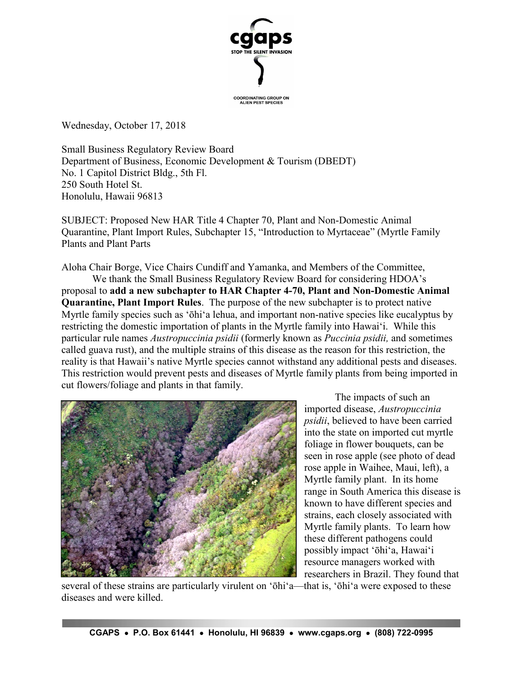

Wednesday, October 17, 2018

Small Business Regulatory Review Board Department of Business, Economic Development & Tourism (DBEDT) No. 1 Capitol District Bldg., 5th Fl. 250 South Hotel St. Honolulu, Hawaii 96813

SUBJECT: Proposed New HAR Title 4 Chapter 70, Plant and Non-Domestic Animal Quarantine, Plant Import Rules, Subchapter 15, "Introduction to Myrtaceae" (Myrtle Family Plants and Plant Parts

Aloha Chair Borge, Vice Chairs Cundiff and Yamanka, and Members of the Committee, We thank the Small Business Regulatory Review Board for considering HDOA's proposal to **add a new subchapter to HAR Chapter 4-70, Plant and Non-Domestic Animal Quarantine, Plant Import Rules**. The purpose of the new subchapter is to protect native Myrtle family species such as ʻōhiʻa lehua, and important non-native species like eucalyptus by restricting the domestic importation of plants in the Myrtle family into Hawaiʻi. While this particular rule names *Austropuccinia psidii* (formerly known as *Puccinia psidii,* and sometimes called guava rust), and the multiple strains of this disease as the reason for this restriction, the reality is that Hawaii's native Myrtle species cannot withstand any additional pests and diseases. This restriction would prevent pests and diseases of Myrtle family plants from being imported in cut flowers/foliage and plants in that family.



The impacts of such an imported disease, *Austropuccinia psidii*, believed to have been carried into the state on imported cut myrtle foliage in flower bouquets, can be seen in rose apple (see photo of dead rose apple in Waihee, Maui, left), a Myrtle family plant. In its home range in South America this disease is known to have different species and strains, each closely associated with Myrtle family plants. To learn how these different pathogens could possibly impact ʻōhiʻa, Hawaiʻi resource managers worked with researchers in Brazil. They found that

several of these strains are particularly virulent on ʻōhiʻa—that is, ʻōhiʻa were exposed to these diseases and were killed.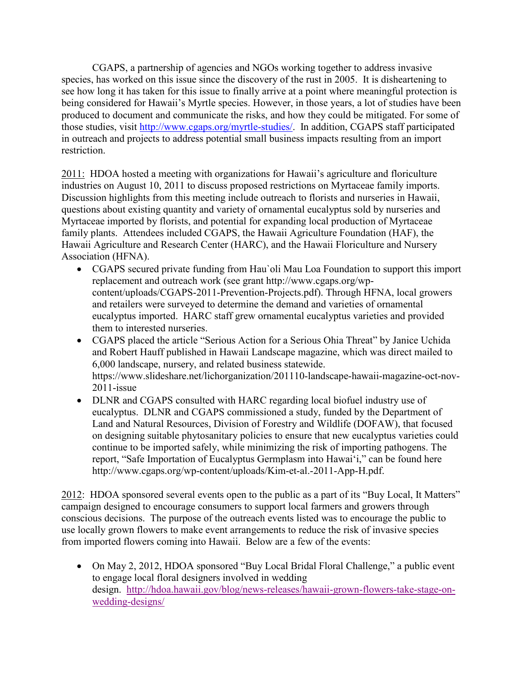CGAPS, a partnership of agencies and NGOs working together to address invasive species, has worked on this issue since the discovery of the rust in 2005. It is disheartening to see how long it has taken for this issue to finally arrive at a point where meaningful protection is being considered for Hawaii's Myrtle species. However, in those years, a lot of studies have been produced to document and communicate the risks, and how they could be mitigated. For some of those studies, visit [http://www.cgaps.org/myrtle-studies/.](http://www.cgaps.org/myrtle-studies/) In addition, CGAPS staff participated in outreach and projects to address potential small business impacts resulting from an import restriction.

2011: HDOA hosted a meeting with organizations for Hawaii's agriculture and floriculture industries on August 10, 2011 to discuss proposed restrictions on Myrtaceae family imports. Discussion highlights from this meeting include outreach to florists and nurseries in Hawaii, questions about existing quantity and variety of ornamental eucalyptus sold by nurseries and Myrtaceae imported by florists, and potential for expanding local production of Myrtaceae family plants. Attendees included CGAPS, the Hawaii Agriculture Foundation (HAF), the Hawaii Agriculture and Research Center (HARC), and the Hawaii Floriculture and Nursery Association (HFNA).

- CGAPS secured private funding from Hau`oli Mau Loa Foundation to support this import replacement and outreach work (see grant http://www.cgaps.org/wpcontent/uploads/CGAPS-2011-Prevention-Projects.pdf). Through HFNA, local growers and retailers were surveyed to determine the demand and varieties of ornamental eucalyptus imported. HARC staff grew ornamental eucalyptus varieties and provided them to interested nurseries.
- CGAPS placed the article "Serious Action for a Serious Ohia Threat" by Janice Uchida and Robert Hauff published in Hawaii Landscape magazine, which was direct mailed to 6,000 landscape, nursery, and related business statewide. https://www.slideshare.net/lichorganization/201110-landscape-hawaii-magazine-oct-nov-2011-issue
- DLNR and CGAPS consulted with HARC regarding local biofuel industry use of eucalyptus. DLNR and CGAPS commissioned a study, funded by the Department of Land and Natural Resources, Division of Forestry and Wildlife (DOFAW), that focused on designing suitable phytosanitary policies to ensure that new eucalyptus varieties could continue to be imported safely, while minimizing the risk of importing pathogens. The report, "Safe Importation of Eucalyptus Germplasm into Hawaiʻi," can be found here http://www.cgaps.org/wp-content/uploads/Kim-et-al.-2011-App-H.pdf.

2012: HDOA sponsored several events open to the public as a part of its "Buy Local, It Matters" campaign designed to encourage consumers to support local farmers and growers through conscious decisions. The purpose of the outreach events listed was to encourage the public to use locally grown flowers to make event arrangements to reduce the risk of invasive species from imported flowers coming into Hawaii. Below are a few of the events:

• On May 2, 2012, HDOA sponsored "Buy Local Bridal Floral Challenge," a public event to engage local floral designers involved in wedding design. [http://hdoa.hawaii.gov/blog/news-releases/hawaii-grown-flowers-take-stage-on](http://hdoa.hawaii.gov/blog/news-releases/hawaii-grown-flowers-take-stage-on-wedding-designs/)[wedding-designs/](http://hdoa.hawaii.gov/blog/news-releases/hawaii-grown-flowers-take-stage-on-wedding-designs/)